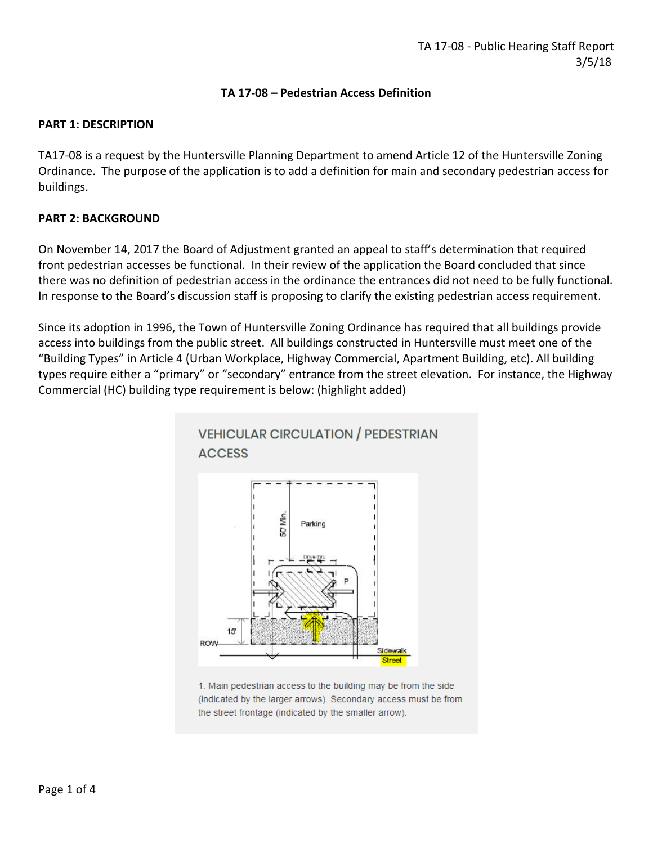### **TA 17-08 – Pedestrian Access Definition**

#### **PART 1: DESCRIPTION**

TA17-08 is a request by the Huntersville Planning Department to amend Article 12 of the Huntersville Zoning Ordinance. The purpose of the application is to add a definition for main and secondary pedestrian access for buildings.

### **PART 2: BACKGROUND**

On November 14, 2017 the Board of Adjustment granted an appeal to staff's determination that required front pedestrian accesses be functional. In their review of the application the Board concluded that since there was no definition of pedestrian access in the ordinance the entrances did not need to be fully functional. In response to the Board's discussion staff is proposing to clarify the existing pedestrian access requirement.

Since its adoption in 1996, the Town of Huntersville Zoning Ordinance has required that all buildings provide access into buildings from the public street. All buildings constructed in Huntersville must meet one of the "Building Types" in Article 4 (Urban Workplace, Highway Commercial, Apartment Building, etc). All building types require either a "primary" or "secondary" entrance from the street elevation. For instance, the Highway Commercial (HC) building type requirement is below: (highlight added)



1. Main pedestrian access to the building may be from the side (indicated by the larger arrows). Secondary access must be from the street frontage (indicated by the smaller arrow).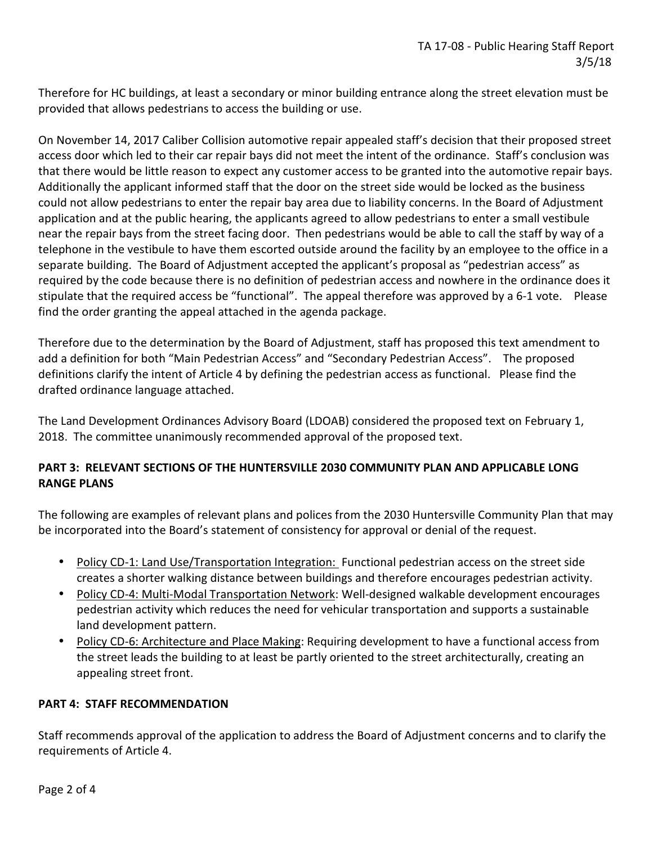Therefore for HC buildings, at least a secondary or minor building entrance along the street elevation must be provided that allows pedestrians to access the building or use.

On November 14, 2017 Caliber Collision automotive repair appealed staff's decision that their proposed street access door which led to their car repair bays did not meet the intent of the ordinance. Staff's conclusion was that there would be little reason to expect any customer access to be granted into the automotive repair bays. Additionally the applicant informed staff that the door on the street side would be locked as the business could not allow pedestrians to enter the repair bay area due to liability concerns. In the Board of Adjustment application and at the public hearing, the applicants agreed to allow pedestrians to enter a small vestibule near the repair bays from the street facing door. Then pedestrians would be able to call the staff by way of a telephone in the vestibule to have them escorted outside around the facility by an employee to the office in a separate building. The Board of Adjustment accepted the applicant's proposal as "pedestrian access" as required by the code because there is no definition of pedestrian access and nowhere in the ordinance does it stipulate that the required access be "functional". The appeal therefore was approved by a 6-1 vote. Please find the order granting the appeal attached in the agenda package.

Therefore due to the determination by the Board of Adjustment, staff has proposed this text amendment to add a definition for both "Main Pedestrian Access" and "Secondary Pedestrian Access". The proposed definitions clarify the intent of Article 4 by defining the pedestrian access as functional. Please find the drafted ordinance language attached.

The Land Development Ordinances Advisory Board (LDOAB) considered the proposed text on February 1, 2018. The committee unanimously recommended approval of the proposed text.

## **PART 3: RELEVANT SECTIONS OF THE HUNTERSVILLE 2030 COMMUNITY PLAN AND APPLICABLE LONG RANGE PLANS**

The following are examples of relevant plans and polices from the 2030 Huntersville Community Plan that may be incorporated into the Board's statement of consistency for approval or denial of the request.

- Policy CD-1: Land Use/Transportation Integration: Functional pedestrian access on the street side creates a shorter walking distance between buildings and therefore encourages pedestrian activity.
- Policy CD-4: Multi-Modal Transportation Network: Well-designed walkable development encourages pedestrian activity which reduces the need for vehicular transportation and supports a sustainable land development pattern.
- Policy CD-6: Architecture and Place Making: Requiring development to have a functional access from the street leads the building to at least be partly oriented to the street architecturally, creating an appealing street front.

## **PART 4: STAFF RECOMMENDATION**

Staff recommends approval of the application to address the Board of Adjustment concerns and to clarify the requirements of Article 4.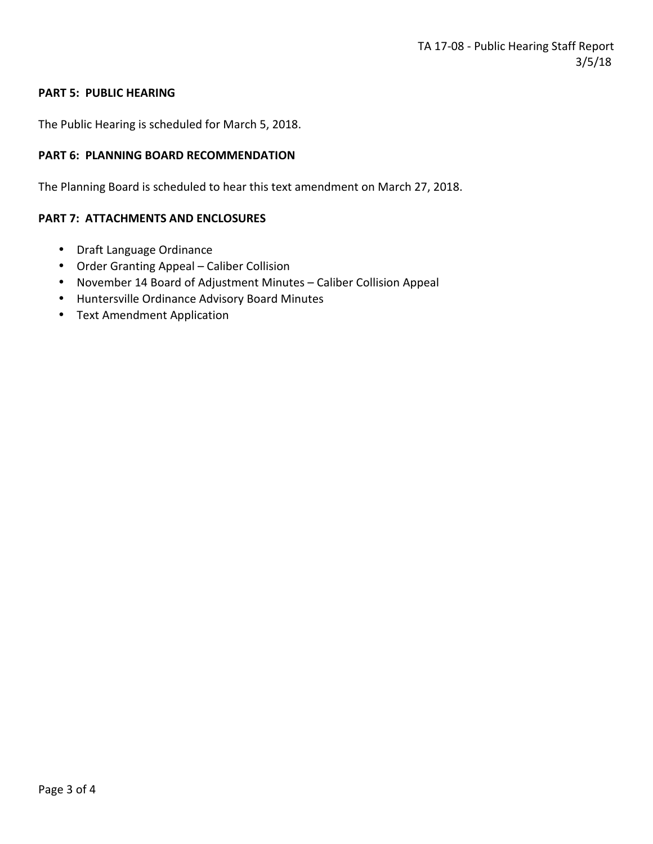### **PART 5: PUBLIC HEARING**

The Public Hearing is scheduled for March 5, 2018.

### **PART 6: PLANNING BOARD RECOMMENDATION**

The Planning Board is scheduled to hear this text amendment on March 27, 2018.

#### **PART 7: ATTACHMENTS AND ENCLOSURES**

- Draft Language Ordinance
- Order Granting Appeal Caliber Collision
- November 14 Board of Adjustment Minutes Caliber Collision Appeal
- Huntersville Ordinance Advisory Board Minutes
- Text Amendment Application